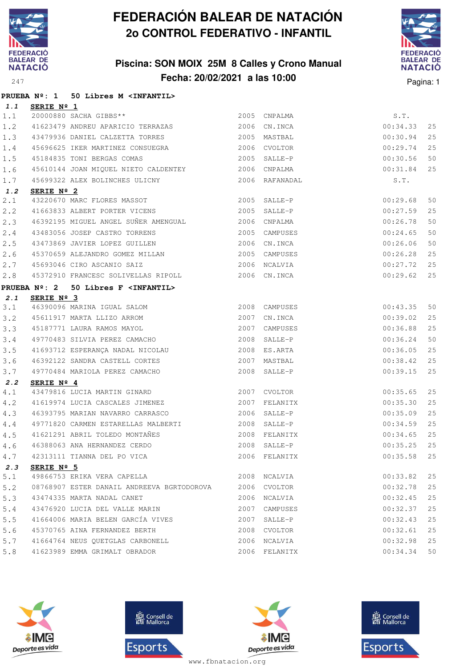

### **Piscina: SON MOIX 25M 8 Calles y Crono Manual Fecha: 20/02/2021 a las 10:00** Pagina: 1



|     |            | PRUEBA Nº: 1 50 Libres M <infantil></infantil>                                                                                        |               |               |        |
|-----|------------|---------------------------------------------------------------------------------------------------------------------------------------|---------------|---------------|--------|
| 1.1 | SERIE Nº 1 |                                                                                                                                       |               |               |        |
| 1.1 |            | 20000880 SACHA GIBBS**                                                                                                                | 2005 CNPALMA  | S.T.          |        |
| 1.2 |            | 41623479 ANDREU APARICIO TERRAZAS 2006 CN.INCA                                                                                        |               | 00:34.33      | 25     |
| 1.3 |            | 43479936 DANIEL CALZETTA TORRES 2005 MASTBAL                                                                                          |               | 00:30.94      | 25     |
| 1.4 |            | 45696625 IKER MARTINEZ CONSUEGRA 2006 CVOLTOR                                                                                         |               | 00:29.74      | 25     |
| 1.5 |            | 45184835 TONI BERGAS COMAS                                                                                                            | 2005 SALLE-P  | 00:30.56      | 50     |
| 1.6 |            | 45610144 JOAN MIQUEL NIETO CALDENTEY 2006 CNPALMA                                                                                     |               | 00:31.84      | 25     |
| 1.7 |            | 45699322 ALEX BOLINCHES ULICNY 1999 2006 RAFANADAL                                                                                    |               | S.T.          |        |
| 1.2 | SERIE Nº 2 |                                                                                                                                       |               |               |        |
| 2.1 |            | 43220670 MARC FLORES MASSOT 43220670 MARC FLORES MASSOT 2005 SALLE-P<br>41663833 ALBERT PORTER VICENS 2005 SALLE-P                    |               | 00:29.68      | 50     |
| 2.2 |            |                                                                                                                                       |               | 00:27.59      | 25     |
| 2.3 |            | 46392195 MIGUEL ANGEL SUÑER AMENGUAL 2006 CNPALMA                                                                                     |               | 00:26.78      | 50     |
| 2.4 |            | 43483056 JOSEP CASTRO TORRENS 2005 CAMPUSES                                                                                           |               | 00:24.65      | 50     |
| 2.5 |            | 43473869 JAVIER LOPEZ GUILLEN                                                                                                         | 2006 CN.INCA  | 00:26.06      | 50     |
| 2.6 |            | 45370659 ALEJANDRO GOMEZ MILLAN 2005 CAMPUSES                                                                                         |               | 00:26.28      | 25     |
| 2.7 |            | 45693046 CIRO ASCANIO SAIZ                                                                                                            | 2006 NCALVIA  | 00:27.72      | 25     |
| 2.8 |            | 45372910 FRANCESC SOLIVELLAS RIPOLL 2006 CN.INCA                                                                                      |               | 00:29.62      | 25     |
|     |            | PRUEBA Nº: 2 50 Libres F <infantil></infantil>                                                                                        |               |               |        |
| 2.1 | SERIE Nº 3 |                                                                                                                                       |               |               |        |
| 3.1 |            | 46390096 MARINA IGUAL SALOM 1999 2008 CAMPUSES<br>45611917 MARTA LLIZO ARROM 2007 CN.INCA<br>45187771 LAURA RAMOS MAYOL 2007 CAMPUSES |               | 00:43.35      | 50     |
| 3.2 |            |                                                                                                                                       |               | 00:39.02      | 25     |
| 3.3 |            |                                                                                                                                       |               | 00:36.88      | 25     |
| 3.4 |            | 49770483 SILVIA PEREZ CAMACHO                                                                                                         | 2008 SALLE-P  | 00:36.24      | 50     |
| 3.5 |            |                                                                                                                                       |               | 00:36.05      | 25     |
| 3.6 |            | 46392122 SANDRA CASTELL CORTES 2007                                                                                                   | MASTBAL       | 00:38.42      | 25     |
| 3.7 |            | 49770484 MARIOLA PEREZ CAMACHO                                                                                                        | 2008 SALLE-P  | 00:39.15      | 25     |
| 2.2 | SERIE Nº 4 |                                                                                                                                       |               |               |        |
| 4.1 |            | 43479816 LUCIA MARTIN GINARD 2007 CVOLTOR                                                                                             |               | 00:35.65      | 25     |
| 4.2 |            | 41619974 LUCIA CASCALES JIMENEZ 2007 FELANITX                                                                                         |               | 00:35.30      | 25     |
| 4.3 |            | 46393795 MARIAN NAVARRO CARRASCO 2006 SALLE-P                                                                                         |               | 00:35.09      | 25     |
| 4.4 |            | 49771820 CARMEN ESTARELLAS MALBERTI                                                                                                   | 2008 SALLE-P  | 00:34.59      | 25     |
| 4.5 |            | 41621291 ABRIL TOLEDO MONTAÑES 2008 FELANITX                                                                                          |               | 00:34.65      | 25     |
| 4.6 |            |                                                                                                                                       |               | $00:35.25$ 25 |        |
| 4.7 |            | 42313111 TIANNA DEL PO VICA                                                                                                           | 2006 FELANITX | 00:35.58      | 25     |
| 2.3 | SERIE Nº 5 |                                                                                                                                       |               |               |        |
| 5.1 |            | 49866753 ERIKA VERA CAPELLA                                                                                                           | 2008 NCALVIA  | 00:33.82      | 25     |
| 5.2 |            | 08768907 ESTER DANAIL ANDREEVA BGRTODOROVA 2006 CVOLTOR                                                                               |               | 00:32.78      | 25     |
| 5.3 |            | 43474335 MARTA NADAL CANET                                                                                                            | 2006 NCALVIA  | 00:32.45      | 25     |
| 5.4 |            | 43476920 LUCIA DEL VALLE MARIN                                                                                                        | 2007 CAMPUSES | 00:32.37      | 25     |
| 5.5 |            | 41664006 MARIA BELEN GARCÍA VIVES                                                                                                     | 2007 SALLE-P  | 00:32.43      | $2\,5$ |
| 5.6 |            | 45370765 AINA FERNANDEZ BERTH                                                                                                         | 2008 CVOLTOR  | 00:32.61      | $25$   |
| 5.7 |            | 41664764 NEUS QUETGLAS CARBONELL                                                                                                      | 2006 NCALVIA  | 00:32.98      | 25     |
| 5.8 |            | 41623989 EMMA GRIMALT OBRADOR                                                                                                         | 2006 FELANITX | 00:34.34      | 50     |







**感** Consell de Esports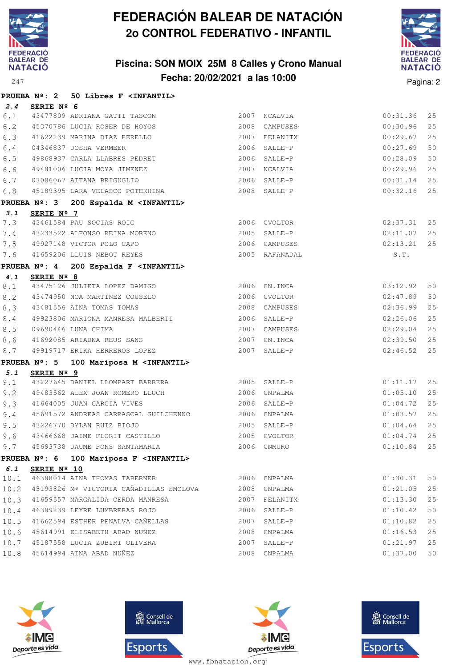

### **Piscina: SON MOIX 25M 8 Calles y Crono Manual Fecha: 20/02/2021 a las 10:00** Pagina: 2



|            |                        | PRUEBA Nº: 2 50 Libres F <infantil></infantil>                                                                             |             |                |                      |          |
|------------|------------------------|----------------------------------------------------------------------------------------------------------------------------|-------------|----------------|----------------------|----------|
| 2.4        | SERIE Nº 6             |                                                                                                                            |             |                |                      |          |
|            |                        | 6.1 43477809 ADRIANA GATTI TASCON                                                                                          |             | 2007 NCALVIA   | 00:31.36             | 25       |
| 6.2        |                        | 45370786 LUCIA ROSER DE HOYOS                                                                                              |             | 2008 CAMPUSES  | 00:30.96             | 25       |
| 6.3        |                        | 41622239 MARINA DIAZ PERELLO                                                                                               |             | 2007 FELANITX  | 00:29.67             | 25       |
| $6.4$      |                        | 04346837 JOSHA VERMEER                                                                                                     |             | 2006 SALLE-P   | 00:27.69             | 50       |
| 6.5        |                        | 49868937 CARLA LLABRES PEDRET                                                                                              |             | 2006 SALLE-P   | 00:28.09             | 50       |
| $6.6$      |                        |                                                                                                                            |             | 2007 NCALVIA   | 00:29.96             | 25       |
| 6.7        |                        |                                                                                                                            |             | 2006 SALLE-P   | 00:31.14             | 25       |
| 6.8        |                        | AUIA JIMENEZ<br>03086067 AITANA BRIGUGLIO<br>45189395 LARA VELASCO DOTTI<br>45189395 LARA VELASCO POTEKHINA 6 2008 SALLE-P |             |                | 00:32.16             | 25       |
|            |                        | PRUEBA Nº: 3 200 Espalda M <infantil></infantil>                                                                           |             |                |                      |          |
| 3.1        | SERIE Nº 7             |                                                                                                                            |             |                |                      |          |
| 7.3        |                        | 43461584 PAU SOCIAS ROIG<br>43461584 PAU SOCIAS ROIG 2006 CVOLTOR                                                          |             |                | $02:37.31$ 25        |          |
| 7.4        |                        |                                                                                                                            |             |                | 02:11.07             | 25       |
| 7.5        |                        | 2006 CAMPUSES<br>49927148 VICTOR POLO CAPO                                                                                 |             |                | $02:13.21$ 25        |          |
| 7.6        |                        | 41659206 LLUIS NEBOT REYES                                                                                                 |             | 2005 RAFANADAL | S.T.                 |          |
|            |                        | PRUEBA Nº: 4 200 Espalda F <infantil></infantil>                                                                           |             |                |                      |          |
| 4.1        | SERIE Nº 8             |                                                                                                                            |             |                |                      |          |
| 8.1        |                        | 43475126 JULIETA LOPEZ DAMIGO 2006 CN.INCA                                                                                 |             |                | 03:12.92             | 50       |
| 8.2        |                        | 43474950 NOA MARTINEZ COUSELO 2006 CVOLTOR                                                                                 |             |                | 02:47.89             | 50       |
| 8.3        |                        | 43481556 AINA TOMAS TOMAS                                                                                                  |             | 2008 CAMPUSES  | 02:36.99             | 25       |
| 8.4        |                        | 49923806 MARIONA MANRESA MALBERTI 40006 SALLE-P                                                                            |             |                | 02:26.06             | 25       |
| 8.5        |                        | 09690446 LUNA CHIMA                                                                                                        |             | 2007 CAMPUSES  | 02:29.04             | 25       |
| 8.6        |                        | 41692085 ARIADNA REUS SANS                                                                                                 |             | 2007 CN.INCA   | 02:39.50             | 25       |
| 8.7        |                        | 49919717 ERIKA HERREROS LOPEZ                                                                                              |             | 2007 SALLE-P   | 02:46.52             | 25       |
|            | <b>PRUEBA Nº: 5</b>    | 100 Mariposa M <infantil></infantil>                                                                                       |             |                |                      |          |
| 5.1<br>9.1 | SERIE Nº 9             | 43227645 DANIEL LLOMPART BARRERA 2005 SALLE-P                                                                              |             |                |                      |          |
|            |                        |                                                                                                                            |             | 2006 CNPALMA   | 01:11.17             | 25<br>25 |
| 9.2<br>9.3 |                        | 49483562 ALEX JOAN ROMERO LLUCH                                                                                            |             |                | 01:05.10             | 25       |
| 9.4        |                        | 41664005 JUAN GARCIA VIVES 2006 SALLE-P<br>45691572 ANDREAS CARRASCAL GUILCHENKO  2006 CNPALMA                             |             |                | 01:04.72<br>01:03.57 | 25       |
| 9.5        |                        | 43226770 DYLAN RUIZ BIOJO                                                                                                  |             | 2005 SALLE-P   | 01:04.64             | 25       |
| 9.6        |                        | 43466668 JAIME FLORIT CASTILLO                                                                                             |             | 2005 CVOLTOR   | 01:04.74             | 25       |
|            |                        | 9.7 45693738 JAUME PONS SANTAMARIA                                                                                         | 2006 CNMURO |                | $01:10.84$ 25        |          |
|            | PRUEBA $N^{\circ}$ : 6 |                                                                                                                            |             |                |                      |          |
| 6.1        | SERIE Nº 10            | 100 Mariposa F <infantil></infantil>                                                                                       |             |                |                      |          |
| 10.1       |                        | 46388014 AINA THOMAS TABERNER                                                                                              |             | 2006 CNPALMA   | 01:30.31             | 50       |
| 10.2       |                        | 45193826 Mª VICTORIA CAÑADILLAS SMOLOVA                                                                                    |             | 2008 CNPALMA   | 01:21.05             | 25       |
| 10.3       |                        | 41659557 MARGALIDA CERDA MANRESA                                                                                           |             | 2007 FELANITX  | 01:13.30             | 25       |
| 10.4       |                        | 46389239 LEYRE LUMBRERAS ROJO                                                                                              |             | 2006 SALLE-P   | 01:10.42             | 50       |
| 10.5       |                        | 41662594 ESTHER PENALVA CAÑELLAS                                                                                           |             | 2007 SALLE-P   | 01:10.82             | 25       |
| 10.6       |                        | 45614991 ELISABETH ABAD NUÑEZ                                                                                              |             | 2008 CNPALMA   | 01:16.53             | 25       |
| 10.7       |                        | 45187558 LUCIA ZUBIRI OLIVERA                                                                                              | 2007        | SALLE-P        | 01:21.97             | 25       |
| 10.8       |                        | 45614994 AINA ABAD NUÑEZ                                                                                                   |             | 2008 CNPALMA   | 01:37.00             | 50       |
|            |                        |                                                                                                                            |             |                |                      |          |







**感** Consell de Esports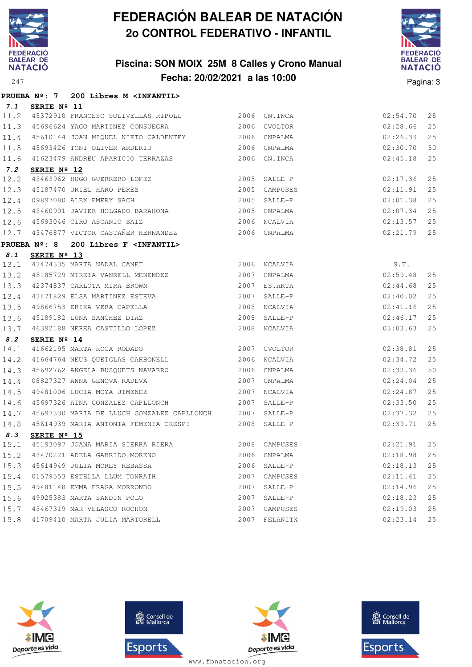

### **Piscina: SON MOIX 25M 8 Calles y Crono Manual Fecha: 20/02/2021 a las 10:00** Pagina: 3



|      |                      | PRUEBA Nº: 7 200 Libres M <infantil></infantil>                                                    |      |                    |          |    |
|------|----------------------|----------------------------------------------------------------------------------------------------|------|--------------------|----------|----|
| 7.1  | SERIE Nº 11          |                                                                                                    |      |                    |          |    |
|      |                      | 11.2 45372910 FRANCESC SOLIVELLAS RIPOLL 2006 CN.INCA                                              |      |                    | 02:54.70 | 25 |
| 11.3 |                      |                                                                                                    |      |                    | 02:28.66 | 25 |
|      |                      | 11.4 45610144 JOAN MIQUEL NIETO CALDENTEY 62006 CNPALMA                                            |      |                    | 02:26.39 | 25 |
| 11.5 |                      | 45693426 TONI OLIVER ARDERIU 2006 CNPALMA                                                          |      |                    | 02:30.70 | 50 |
| 11.6 |                      | 41623479 ANDREU APARICIO TERRAZAS                                                                  |      | 2006 CN.INCA       | 02:45.18 | 25 |
| 7.2  | SERIE $N^{\circ}$ 12 |                                                                                                    |      |                    |          |    |
| 12.2 |                      | 43463962 HUGO GUERRERO LOPEZ                                                                       | 2005 | SALLE-P            | 02:17.36 | 25 |
|      |                      | 12.3 45187470 URIEL HARO PEREZ<br>12.4 09897080 ALEX EMERY SACH                                    | 2005 | CAMPUSES           | 02:11.91 | 25 |
|      |                      |                                                                                                    |      | 2005 SALLE-P       | 02:01.38 | 25 |
| 12.5 |                      |                                                                                                    |      |                    | 02:07.34 | 25 |
| 12.6 |                      | 2006 NCALVIA<br>45693046 CIRO ASCANIO SAIZ                                                         |      |                    | 02:13.57 | 25 |
|      |                      | 12.7 43476877 VICTOR CASTAÑER HERNANDEZ 2006 CNPALMA                                               |      |                    | 02:21.79 | 25 |
|      |                      | PRUEBA Nº: 8 200 Libres F <infantil></infantil>                                                    |      |                    |          |    |
| 8.1  | SERIE Nº 13          |                                                                                                    |      |                    |          |    |
| 13.1 |                      | 43474335 MARTA NADAL CANET 2006 NCALVIA                                                            |      | $S.T.$<br>02:59.48 |          |    |
|      |                      | 13.2 45185729 MIREIA VANRELL MENENDEZ 2007                                                         |      | CNPALMA            |          | 25 |
|      |                      | 13.3 42374837 CARLOTA MIRA BROWN                                                                   |      | 2007 ES.ARTA       | 02:44.68 | 25 |
|      |                      | 13.4 43471829 ELSA MARTINEZ ESTEVA<br>13.5 49866753 ERIKA VERA CAPELLA<br>13.6 45199199 ***** **** |      | 2007 SALLE-P       | 02:40.02 | 25 |
|      |                      |                                                                                                    | 2008 | NCALVIA            | 02:41.16 | 25 |
|      |                      | 13.6 45189182 LUNA SANCHEZ DIAZ<br>13.7 46392188 NEREA CASTILLO LOPEZ                              | 2008 | SALLE-P            | 02:46.17 | 25 |
|      |                      |                                                                                                    |      | 2008 NCALVIA       | 03:03.63 | 25 |
| 8.2  | SERIE Nº 14          |                                                                                                    |      |                    |          |    |
| 14.1 |                      | 41662195 MARTA ROCA RODADO 6 2007 CVOLTOR                                                          |      |                    | 02:38.81 | 25 |
| 14.2 |                      | 41664764 NEUS QUETGLAS CARBONELL 2006                                                              |      | NCALVIA            | 02:34.72 | 25 |
| 14.3 |                      | 45692762 ANGELA BUSQUETS NAVARRO                                                                   |      | 2006 CNPALMA       | 02:33.36 | 50 |
| 14.4 |                      |                                                                                                    |      | 2007 CNPALMA       | 02:24.04 | 25 |
| 14.5 |                      | 08827327 ANNA GENOVA RADEVA<br>49481006 LUCIA MOYA JIMENEZ<br>2007 NCALVIA                         |      |                    | 02:24.87 | 25 |
| 14.6 |                      | 45697326 AINA GONZALEZ CAPLLONCH 2007 SALLE-P                                                      |      |                    | 02:33.50 | 25 |
| 14.7 |                      | 45697330 MARIA DE LLUCH GONZALEZ CAPLLONCH 2007 SALLE-P                                            |      |                    | 02:37.32 | 25 |
| 14.8 |                      | 45614939 MARIA ANTONIA FEMENIA CRESPI 2008 SALLE-P                                                 |      |                    | 02:39.71 | 25 |
| 8.3  | SERIE Nº 15          |                                                                                                    |      |                    |          |    |
| 15.1 |                      | 45193097 JOANA MARIA SIERRA RIERA 2008 CAMPUSES                                                    |      |                    | 02:21.91 | 25 |
| 15.2 |                      | 43470221 ADELA GARRIDO MORENO                                                                      | 2006 | CNPALMA            | 02:18.98 | 25 |
| 15.3 |                      | 45614949 JULIA MOREY REBASSA                                                                       | 2006 | SALLE-P            | 02:18.13 | 25 |
| 15.4 |                      | 01579553 ESTELLA LLUM TONRATH                                                                      | 2007 | CAMPUSES           | 02:11.41 | 25 |
| 15.5 |                      | 49481148 EMMA FRAGA MORRONDO                                                                       | 2007 | $SALLE-P$          | 02:14.96 | 25 |
| 15.6 |                      | 49925383 MARTA SANDIN POLO                                                                         | 2007 | SALLE-P            | 02:18.23 | 25 |
| 15.7 |                      | 43467319 MAR VELASCO ROCHON                                                                        | 2007 | CAMPUSES           | 02:19.03 | 25 |
| 15.8 |                      | 41709410 MARTA JULIA MARTORELL                                                                     | 2007 | FELANITX           | 02:23.14 | 25 |







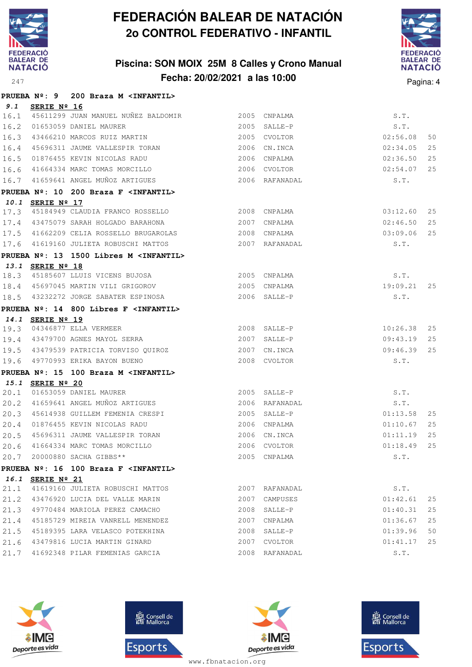

### **Piscina: SON MOIX 25M 8 Calles y Crono Manual Fecha: 20/02/2021 a las 10:00** Pagina: 4



|              |                  | PRUEBA Nº: 9 200 Braza M <infantil></infantil>         |                |                              |                      |          |
|--------------|------------------|--------------------------------------------------------|----------------|------------------------------|----------------------|----------|
| 9.1          | SERIE Nº 16      |                                                        |                |                              |                      |          |
| 16.1         |                  | 45611299 JUAN MANUEL NUÑEZ BALDOMIR 2005 CNPALMA       |                |                              | S.T.                 |          |
| 16.2         |                  | 01653059 DANIEL MAURER                                 |                | 2005 SALLE-P                 | S.T.                 |          |
| 16.3         |                  | 43466210 MARCOS RUIZ MARTIN                            |                | 2005 CVOLTOR                 | 02:56.08             | 50       |
| 16.4         |                  | 45696311 JAUME VALLESPIR TORAN                         |                | 2006 CN.INCA                 | 02:34.05             | 25       |
| 16.5         |                  | 01876455 KEVIN NICOLAS RADU                            |                | 2006 CNPALMA                 | 02:36.50             | 25       |
| 16.6         |                  | 41664334 MARC TOMAS MORCILLO                           | 2006           | CVOLTOR                      | 02:54.07             | 25       |
| 16.7         |                  | 41659641 ANGEL MUÑOZ ARTIGUES                          |                | 2006 RAFANADAL               | S.T.                 |          |
|              |                  | PRUEBA Nº: 10 200 Braza F <infantil></infantil>        |                |                              |                      |          |
|              | 10.1 SERIE Nº 17 |                                                        |                |                              |                      |          |
| 17.3         |                  | 45184949 CLAUDIA FRANCO ROSSELLO                       |                | 2008 CNPALMA                 | 03:12.60             | 25       |
| 17.4         |                  | 43475079 SARAH HOLGADO BARAHONA                        |                | 2007 CNPALMA                 | 02:46.50             | 25       |
| 17.5         |                  | 41662209 CELIA ROSSELLO BRUGAROLAS                     |                | 2008 CNPALMA                 | 03:09.06             | 25       |
| 17.6         |                  | 41619160 JULIETA ROBUSCHI MATTOS                       |                | 2007 RAFANADAL               | S.T.                 |          |
|              |                  | PRUEBA Nº: 13 1500 Libres M <infantil></infantil>      |                |                              |                      |          |
|              | 13.1 SERIE Nº 18 |                                                        |                |                              |                      |          |
| 18.3         |                  | 45185607 LLUIS VICENS BUJOSA                           |                | 2005 CNPALMA                 | S.T.                 |          |
|              |                  | 18.4 45697045 MARTIN VILI GRIGOROV                     |                | 2005 CNPALMA                 | 19:09.21             | 25       |
| 18.5         |                  | 43232272 JORGE SABATER ESPINOSA                        | $2006$ SALLE-P |                              | S.T.                 |          |
|              |                  | PRUEBA Nº: 14 800 Libres F <infantil></infantil>       |                |                              |                      |          |
|              | 14.1 SERIE Nº 19 |                                                        |                |                              |                      |          |
| 19.3         |                  | 04346877 ELLA VERMEER                                  |                | 2008 SALLE-P                 | 10:26.38             | 25       |
| 19.4         |                  | 43479700 AGNES MAYOL SERRA                             | 2007           | SALLE-P                      | 09:43.19             | 25       |
| 19.5         |                  | 43479539 PATRICIA TORVISO QUIROZ                       |                | 2007 CN. INCA                | 09:46.39             | 25       |
| 19.6         |                  | 49770993 ERIKA BAYON BUENO                             |                | 2008 CVOLTOR                 | S.T.                 |          |
|              |                  | PRUEBA Nº: 15 100 Braza M <infantil></infantil>        |                |                              |                      |          |
|              | 15.1 SERIE Nº 20 |                                                        |                |                              |                      |          |
| 20.1         |                  | 01653059 DANIEL MAURER                                 |                | 2005 SALLE-P                 | S.T.                 |          |
| 20.2         |                  | 41659641 ANGEL MUÑOZ ARTIGUES                          |                | 2006 RAFANADAL               | S.T.                 |          |
| 20.3         |                  | 45614938 GUILLEM FEMENIA CRESPI                        |                | 2005 SALLE-P                 | 01:13.58             | 25<br>25 |
| 20.4         |                  | 01876455 KEVIN NICOLAS RADU                            |                | 2006 CNPALMA                 | 01:10.67             | 25       |
| 20.5         |                  | 45696311 JAUME VALLESPIR TORAN                         |                | 2006 CN. INCA                | 01:11.19<br>01:18.49 |          |
| 20.6         |                  | 41664334 MARC TOMAS MORCILLO<br>20000880 SACHA GIBBS** |                | 2006 CVOLTOR<br>2005 CNPALMA | S.T.                 | 25       |
| 20.7         |                  |                                                        |                |                              |                      |          |
|              |                  | PRUEBA Nº: 16 100 Braza F <infantil></infantil>        |                |                              |                      |          |
| 16.1<br>21.1 | SERIE Nº 21      | 41619160 JULIETA ROBUSCHI MATTOS                       |                | 2007 RAFANADAL               | S.T.                 |          |
| 21.2         |                  | 43476920 LUCIA DEL VALLE MARIN                         |                | 2007 CAMPUSES                | 01:42.61             | 25       |
| 21.3         |                  | 49770484 MARIOLA PEREZ CAMACHO                         |                | 2008 SALLE-P                 | 01:40.31             | 25       |
| 21.4         |                  | 45185729 MIREIA VANRELL MENENDEZ                       |                | 2007 CNPALMA                 | 01:36.67             | 25       |
| 21.5         |                  | 45189395 LARA VELASCO POTEKHINA                        | 2008           | SALLE-P                      | 01:39.96             | 50       |
| 21.6         |                  | 43479816 LUCIA MARTIN GINARD                           |                | 2007 CVOLTOR                 | 01:41.17             | 25       |
| 21.7         |                  | 41692348 PILAR FEMENIAS GARCIA                         |                | 2008 RAFANADAL               | S.T.                 |          |
|              |                  |                                                        |                |                              |                      |          |







**感** Consell de Esports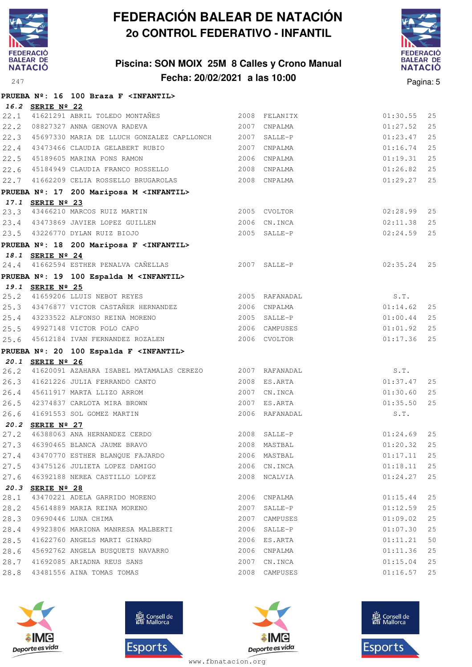

### **Piscina: SON MOIX 25M 8 Calles y Crono Manual Fecha: 20/02/2021 a las 10:00** Pagina: 5



|      |                  | PRUEBA Nº: 16 100 Braza F <infantil></infantil>                                                                              |      |                |               |    |
|------|------------------|------------------------------------------------------------------------------------------------------------------------------|------|----------------|---------------|----|
|      | 16.2 SERIE Nº 22 |                                                                                                                              |      |                |               |    |
|      |                  | 22.1 41621291 ABRIL TOLEDO MONTAÑES 2008 FELANITX                                                                            |      |                | 01:30.55      | 25 |
|      |                  | 22.2 08827327 ANNA GENOVA RADEVA                                                                                             |      | 2007 CNPALMA   | 01:27.52      | 25 |
|      |                  | 22.3 45697330 MARIA DE LLUCH GONZALEZ CAPLLONCH 2007 SALLE-P                                                                 |      |                | 01:23.47      | 25 |
|      |                  | 22.4 43473466 CLAUDIA GELABERT RUBIO 2007 CNPALMA                                                                            |      |                | 01:16.74      | 25 |
|      |                  | 22.5 45189605 MARINA PONS RAMON 2006 CNPALMA                                                                                 |      |                | 01:19.31      | 25 |
|      |                  | 22.6 45184949 CLAUDIA FRANCO ROSSELLO 2008 CNPALMA                                                                           |      |                | 01:26.82      | 25 |
|      |                  | 22.7 41662209 CELIA ROSSELLO BRUGAROLAS 2008 CNPALMA                                                                         |      |                | 01:29.27      | 25 |
|      |                  | PRUEBA Nº: 17 200 Mariposa M <infantil></infantil>                                                                           |      |                |               |    |
|      | 17.1 SERIE Nº 23 |                                                                                                                              |      |                |               |    |
|      |                  | 23.3 43466210 MARCOS RUIZ MARTIN 2005 CVOLTOR<br>23.4 43473869 JAVIER LOPEZ GUILLEN 2006 CN.INCA                             |      |                | 02:28.99 25   |    |
|      |                  |                                                                                                                              |      |                | 02:11.38      | 25 |
|      |                  | 23.5 43226770 DYLAN RUIZ BIOJO                                                                                               |      | $2005$ SALLE-P | 02:24.59      | 25 |
|      |                  | PRUEBA Nº: 18 200 Mariposa F <infantil></infantil>                                                                           |      |                |               |    |
|      | 18.1 SERIE Nº 24 |                                                                                                                              |      |                |               |    |
|      |                  | 2007 SALLE-P<br>24.4 41662594 ESTHER PENALVA CAÑELLAS                                                                        |      |                | $02:35.24$ 25 |    |
|      |                  | PRUEBA Nº: 19 100 Espalda M <infantil></infantil>                                                                            |      |                |               |    |
|      | 19.1 SERIE Nº 25 |                                                                                                                              |      |                |               |    |
|      |                  | 25.2 41659206 LLUIS NEBOT REYES                                                                                              |      | 2005 RAFANADAL | S.T.          |    |
|      |                  | 25.3 43476877 VICTOR CASTAÑER HERNANDEZ 2006 CNPALMA 2006 1214.62                                                            |      |                |               | 25 |
|      |                  | 25.4 43233522 ALFONSO REINA MORENO                                                                                           |      | 2005 SALLE-P   | 01:00.44      | 25 |
|      |                  | 25.5 49927148 VICTOR POLO CAPO 2006 CAMPUSES                                                                                 |      |                | 01:01.92      | 25 |
|      |                  | 25.6 45612184 IVAN FERNANDEZ ROZALEN 2006 CVOLTOR                                                                            |      |                | 01:17.36      | 25 |
|      |                  | PRUEBA Nº: 20 100 Espalda F <infantil></infantil>                                                                            |      |                |               |    |
|      | 20.1 SERIE Nº 26 |                                                                                                                              |      |                |               |    |
| 26.2 |                  | 41620091 AZAHARA ISABEL MATAMALAS CEREZO $2007$ RAFANADAL $5.7$ .<br>41621226 JULIA FERRANDO CANTO $2008$ ES.ARTA $01:37.47$ |      |                |               |    |
|      |                  | 26.3 41621226 JULIA FERRANDO CANTO                                                                                           |      |                |               | 25 |
|      |                  | 26.4 45611917 MARTA LLIZO ARROM                                                                                              |      | 2007 CN.INCA   | 01:30.60      | 25 |
|      |                  | 26.5 42374837 CARLOTA MIRA BROWN                                                                                             |      | 2007 ES.ARTA   | 01:35.50      | 25 |
| 26.6 |                  | 41691553 SOL GOMEZ MARTIN                                                                                                    |      | 2006 RAFANADAL | S.T.          |    |
|      | 20.2 SERIE Nº 27 |                                                                                                                              |      |                |               |    |
| 27.2 |                  | 46388063 ANA HERNANDEZ CERDO                                                                                                 |      | 2008 SALLE-P   | 01:24.69      | 25 |
|      |                  | 27.3 46390465 BLANCA JAUME BRAVO 2008 MASTBAL 2008 MASTBAL 01:20.32 25                                                       |      |                |               |    |
| 27.4 |                  | 43470770 ESTHER BLANQUE FAJARDO                                                                                              |      | 2006 MASTBAL   | 01:17.11      | 25 |
| 27.5 |                  | 43475126 JULIETA LOPEZ DAMIGO                                                                                                |      | 2006 CN.INCA   | 01:18.11      | 25 |
| 27.6 |                  | 46392188 NEREA CASTILLO LOPEZ                                                                                                |      | 2008 NCALVIA   | 01:24.27      | 25 |
|      | 20.3 SERIE Nº 28 |                                                                                                                              |      |                |               |    |
| 28.1 |                  | 43470221 ADELA GARRIDO MORENO                                                                                                |      | 2006 CNPALMA   | 01:15.44      | 25 |
| 28.2 |                  | 45614889 MARIA REINA MORENO                                                                                                  | 2007 | SALLE-P        | 01:12.59      | 25 |
| 28.3 |                  | 09690446 LUNA CHIMA                                                                                                          | 2007 | CAMPUSES       | 01:09.02      | 25 |
| 28.4 |                  | 49923806 MARIONA MANRESA MALBERTI                                                                                            |      | 2006 SALLE-P   | 01:07.30      | 25 |
| 28.5 |                  | 41622760 ANGELS MARTI GINARD                                                                                                 |      | 2006 ES.ARTA   | 01:11.21      | 50 |
| 28.6 |                  | 45692762 ANGELA BUSQUETS NAVARRO                                                                                             |      | 2006 CNPALMA   | 01:11.36      | 25 |
| 28.7 |                  | 41692085 ARIADNA REUS SANS                                                                                                   | 2007 | CN.INCA        | 01:15.04      | 25 |
| 28.8 |                  | 43481556 AINA TOMAS TOMAS                                                                                                    | 2008 | CAMPUSES       | 01:16.57      | 25 |







**感** Consell de Esports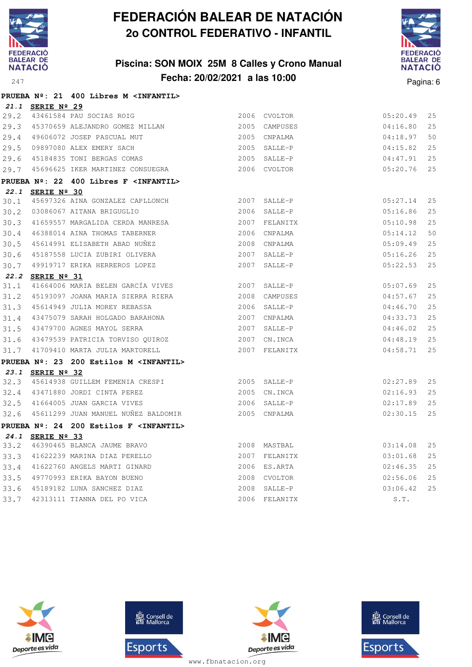

### **Piscina: SON MOIX 25M 8 Calles y Crono Manual Fecha: 20/02/2021 a las 10:00** Pagina: 6



|      |                  | PRUEBA Nº: 21 400 Libres M <infantil></infantil>  |      |               |          |     |
|------|------------------|---------------------------------------------------|------|---------------|----------|-----|
|      | 21.1 SERIE Nº 29 |                                                   |      |               |          |     |
|      |                  | 29.2 43461584 PAU SOCIAS ROIG                     |      | 2006 CVOLTOR  | 05:20.49 | 25  |
| 29.3 |                  | 45370659 ALEJANDRO GOMEZ MILLAN                   |      | 2005 CAMPUSES | 04:16.80 | 25  |
|      |                  | 29.4 49606072 JOSEP PASCUAL MUT                   |      | 2005 CNPALMA  | 04:18.97 | 50  |
| 29.5 |                  | 09897080 ALEX EMERY SACH                          |      | 2005 SALLE-P  | 04:15.82 | 25  |
| 29.6 |                  | 45184835 TONI BERGAS COMAS                        |      | 2005 SALLE-P  | 04:47.91 | 2.5 |
|      |                  | 29.7 45696625 IKER MARTINEZ CONSUEGRA             |      | 2006 CVOLTOR  | 05:20.76 | 25  |
|      |                  | PRUEBA Nº: 22 400 Libres F <infantil></infantil>  |      |               |          |     |
|      | 22.1 SERIE Nº 30 |                                                   |      |               |          |     |
| 30.1 |                  | 45697326 AINA GONZALEZ CAPLLONCH                  |      | 2007 SALLE-P  | 05:27.14 | 25  |
| 30.2 |                  | 03086067 AITANA BRIGUGLIO                         |      | 2006 SALLE-P  | 05:16.86 | 25  |
| 30.3 |                  | 41659557 MARGALIDA CERDA MANRESA                  |      | 2007 FELANITX | 05:10.98 | 25  |
| 30.4 |                  | 46388014 AINA THOMAS TABERNER                     |      | 2006 CNPALMA  | 05:14.12 | 50  |
| 30.5 |                  | 45614991 ELISABETH ABAD NUÑEZ                     | 2008 | CNPALMA       | 05:09.49 | 25  |
| 30.6 |                  | 45187558 LUCIA ZUBIRI OLIVERA                     |      | 2007 SALLE-P  | 05:16.26 | 25  |
| 30.7 |                  | 49919717 ERIKA HERREROS LOPEZ                     |      | 2007 SALLE-P  | 05:22.53 | 25  |
|      | 22.2 SERIE Nº 31 |                                                   |      |               |          |     |
| 31.1 |                  | 41664006 MARIA BELEN GARCÍA VIVES                 |      | 2007 SALLE-P  | 05:07.69 | 25  |
| 31.2 |                  | 45193097 JOANA MARIA SIERRA RIERA                 |      | 2008 CAMPUSES | 04:57.67 | 25  |
| 31.3 |                  | 45614949 JULIA MOREY REBASSA                      |      | 2006 SALLE-P  | 04:46.70 | 25  |
| 31.4 |                  | 43475079 SARAH HOLGADO BARAHONA                   |      | 2007 CNPALMA  | 04:33.73 | 25  |
| 31.5 |                  | 43479700 AGNES MAYOL SERRA                        |      | 2007 SALLE-P  | 04:46.02 | 25  |
|      |                  | 31.6 43479539 PATRICIA TORVISO QUIROZ             |      | 2007 CN.INCA  | 04:48.19 | 25  |
| 31.7 |                  | 41709410 MARTA JULIA MARTORELL                    |      | 2007 FELANITX | 04:58.71 | 25  |
|      |                  | PRUEBA Nº: 23 200 Estilos M <infantil></infantil> |      |               |          |     |
|      | 23.1 SERIE Nº 32 |                                                   |      |               |          |     |
|      |                  | 32.3 45614938 GUILLEM FEMENIA CRESPI 2005 SALLE-P |      |               | 02:27.89 | 25  |
|      |                  | 32.4 43471880 JORDI CINTA PEREZ                   |      | 2005 CN.INCA  | 02:16.93 | 25  |
| 32.5 |                  | 41664005 JUAN GARCIA VIVES                        |      | 2006 SALLE-P  | 02:17.89 | 25  |
|      |                  | 32.6 45611299 JUAN MANUEL NUÑEZ BALDOMIR          |      | 2005 CNPALMA  | 02:30.15 | 25  |
|      |                  | PRUEBA Nº: 24 200 Estilos F <infantil></infantil> |      |               |          |     |
|      | 24.1 SERIE Nº 33 |                                                   |      |               |          |     |
| 33.2 |                  | 46390465 BLANCA JAUME BRAVO                       |      | 2008 MASTBAL  | 03:14.08 | 2.5 |
| 33.3 |                  | 41622239 MARINA DIAZ PERELLO                      |      | 2007 FELANITX | 03:01.68 | 25  |
| 33.4 |                  | 41622760 ANGELS MARTI GINARD                      |      | 2006 ES.ARTA  | 02:46.35 | 25  |
| 33.5 |                  | 49770993 ERIKA BAYON BUENO                        |      | 2008 CVOLTOR  | 02:56.06 | 25  |
| 33.6 |                  | 45189182 LUNA SANCHEZ DIAZ                        |      | 2008 SALLE-P  | 03:06.42 | 2.5 |
| 33.7 |                  | 42313111 TIANNA DEL PO VICA                       |      | 2006 FELANITX | S.T.     |     |





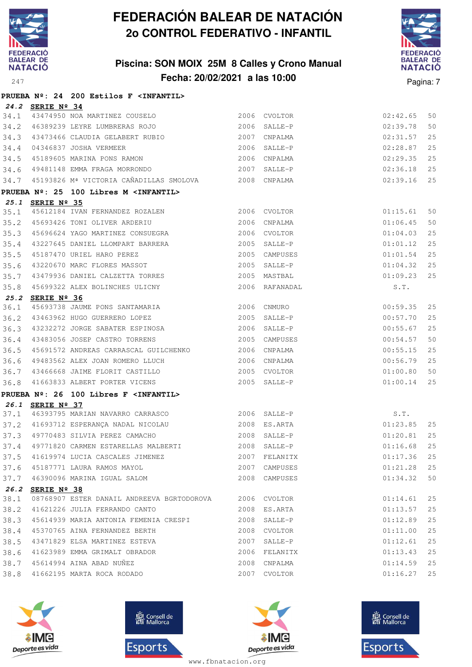

### **Piscina: SON MOIX 25M 8 Calles y Crono Manual Fecha: 20/02/2021 a las 10:00** Pagina: 7



|      |                      | PRUEBA Nº: 24 200 Estilos F <infantil></infantil>                                                                                                   |      |                |          |    |
|------|----------------------|-----------------------------------------------------------------------------------------------------------------------------------------------------|------|----------------|----------|----|
|      | 24.2 SERIE Nº 34     |                                                                                                                                                     |      |                |          |    |
|      |                      | 34.1 43474950 NOA MARTINEZ COUSELO<br>34.2 46389239 LEYRE LUMBRERAS ROJO                                                                            |      | 2006 CVOLTOR   | 02:42.65 | 50 |
|      |                      |                                                                                                                                                     |      | 2006 SALLE-P   | 02:39.78 | 50 |
| 34.3 |                      | 43473466 CLAUDIA GELABERT RUBIO 2007 CNPALMA                                                                                                        |      |                | 02:31.57 | 25 |
|      |                      | 34.4 04346837 JOSHA VERMEER 2006 SALLE-P<br>34.5 45189605 MARINA PONS RAMON 2006 CNPALMA                                                            |      |                | 02:28.87 | 25 |
|      |                      |                                                                                                                                                     |      |                | 02:29.35 | 25 |
|      |                      | 34.6 49481148 EMMA FRAGA MORRONDO                                                                                                                   |      | 2007 SALLE-P   | 02:36.18 | 25 |
|      |                      | 34.7 45193826 Mª VICTORIA CAÑADILLAS SMOLOVA 2008 CNPALMA                                                                                           |      |                | 02:39.16 | 25 |
|      |                      | PRUEBA Nº: 25 100 Libres M <infantil></infantil>                                                                                                    |      |                |          |    |
|      | 25.1 SERIE Nº 35     |                                                                                                                                                     |      |                |          |    |
| 35.1 |                      | 45612184 IVAN FERNANDEZ ROZALEN 2006 CVOLTOR                                                                                                        |      |                | 01:15.61 | 50 |
| 35.2 |                      | 45693426 TONI OLIVER ARDERIU 2006 CNPALMA                                                                                                           |      |                | 01:06.45 | 50 |
| 35.3 |                      | 45696624 YAGO MARTINEZ CONSUEGRA 2006 CVOLTOR                                                                                                       |      |                | 01:04.03 | 25 |
|      |                      |                                                                                                                                                     |      |                | 01:01.12 | 25 |
|      |                      |                                                                                                                                                     |      | 2005 CAMPUSES  | 01:01.54 | 25 |
|      |                      | 35.4 43227645 DANIEL LLOMPART BARRERA 2005 SALLE-P<br>35.5 45187470 URIEL HARO PEREZ 2005 CAMPUSES<br>35.6 43220670 MARC FLORES MASSOT 2005 SALLE-P |      |                | 01:04.32 | 25 |
| 35.7 |                      | 43479936 DANIEL CALZETTA TORRES 2005 MASTBAL                                                                                                        |      |                | 01:09.23 | 25 |
| 35.8 |                      | 45699322 ALEX BOLINCHES ULICNY                                                                                                                      |      | 2006 RAFANADAL | S.T.     |    |
|      | 25.2 SERIE Nº 36     |                                                                                                                                                     |      |                |          |    |
| 36.1 |                      | 45693738 JAUME PONS SANTAMARIA 2006 CNMURO                                                                                                          |      |                | 00:59.35 | 25 |
| 36.2 |                      | 43463962 HUGO GUERRERO LOPEZ 2005 SALLE-P                                                                                                           |      |                | 00:57.70 | 25 |
|      |                      | 36.3 43232272 JORGE SABATER ESPINOSA 2006 SALLE-P                                                                                                   |      |                | 00:55.67 | 25 |
|      |                      | 36.4 43483056 JOSEP CASTRO TORRENS                                                                                                                  |      | 2005 CAMPUSES  | 00:54.57 | 50 |
| 36.5 |                      | 45691572 ANDREAS CARRASCAL GUILCHENKO 2006 CNPALMA                                                                                                  |      |                | 00:55.15 | 25 |
| 36.6 |                      | 49483562 ALEX JOAN ROMERO LLUCH 2006 CNPALMA                                                                                                        |      |                | 00:56.79 | 25 |
| 36.7 |                      |                                                                                                                                                     |      |                | 01:00.80 | 50 |
| 36.8 |                      | 41663833 ALBERT PORTER VICENS                                                                                                                       |      | 2005 SALLE-P   | 01:00.14 | 25 |
|      |                      | PRUEBA Nº: 26 100 Libres F <infantil></infantil>                                                                                                    |      |                |          |    |
|      | 26.1 SERIE Nº 37     |                                                                                                                                                     |      |                |          |    |
|      |                      | 37.1 46393795 MARIAN NAVARRO CARRASCO 2006 SALLE-P                                                                                                  |      |                | S.T.     |    |
|      |                      |                                                                                                                                                     |      |                | 01:23.85 | 25 |
|      |                      | 37.2 41693712 ESPERANÇA NADAL NICOLAU (2008 ES.ARTA)<br>37.3 49770483 SILVIA PEREZ CAMACHO (2008 SALLE-P                                            |      |                | 01:20.81 | 25 |
| 37.4 |                      | 49771820 CARMEN ESTARELLAS MALBERTI<br>2008 SALLE-P                                                                                                 |      |                | 01:16.68 | 25 |
| 37.5 |                      | 41619974 LUCIA CASCALES JIMENEZ                                                                                                                     |      | 2007 FELANITX  | 01:17.36 | 25 |
|      |                      | 37.6 45187771 LAURA RAMOS MAYOL                                                                                                                     | 2007 | CAMPUSES       | 01:21.28 | 25 |
| 37.7 |                      | 46390096 MARINA IGUAL SALOM                                                                                                                         |      | 2008 CAMPUSES  | 01:34.32 | 50 |
| 26.2 | SERIE $N^{\circ}$ 38 |                                                                                                                                                     |      |                |          |    |
| 38.1 |                      | 08768907 ESTER DANAIL ANDREEVA BGRTODOROVA                                                                                                          |      | 2006 CVOLTOR   | 01:14.61 | 25 |
| 38.2 |                      | 41621226 JULIA FERRANDO CANTO                                                                                                                       |      | 2008 ES.ARTA   | 01:13.57 | 25 |
| 38.3 |                      | 45614939 MARIA ANTONIA FEMENIA CRESPI                                                                                                               | 2008 | SALLE-P        | 01:12.89 | 25 |
| 38.4 |                      | 45370765 AINA FERNANDEZ BERTH                                                                                                                       |      | 2008 CVOLTOR   | 01:11.00 | 25 |
| 38.5 |                      | 43471829 ELSA MARTINEZ ESTEVA                                                                                                                       | 2007 | SALLE-P        | 01:12.61 | 25 |
| 38.6 |                      | 41623989 EMMA GRIMALT OBRADOR                                                                                                                       |      | 2006 FELANITX  | 01:13.43 | 25 |
|      |                      | 38.7 45614994 AINA ABAD NUÑEZ                                                                                                                       |      | 2008 CNPALMA   | 01:14.59 | 25 |
| 38.8 |                      | 41662195 MARTA ROCA RODADO                                                                                                                          |      | 2007 CVOLTOR   | 01:16.27 | 25 |